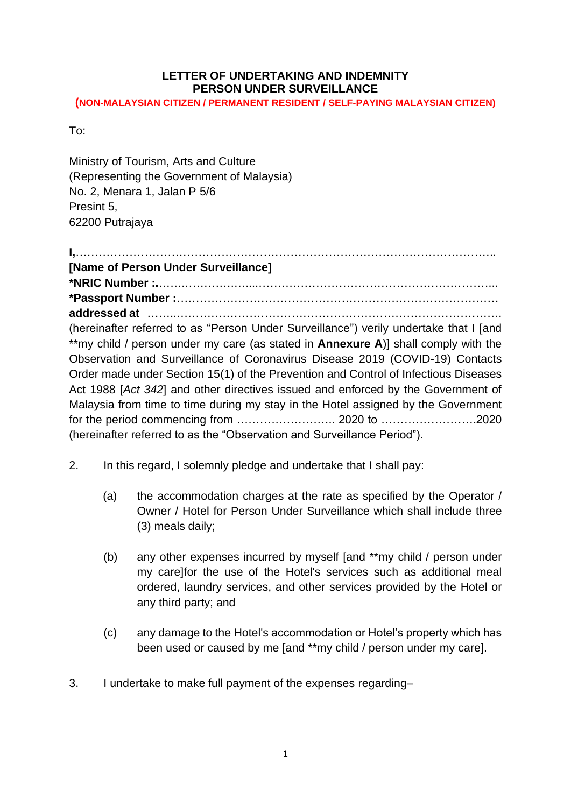# **LETTER OF UNDERTAKING AND INDEMNITY PERSON UNDER SURVEILLANCE**

**(NON-MALAYSIAN CITIZEN / PERMANENT RESIDENT / SELF-PAYING MALAYSIAN CITIZEN)**

To:

Ministry of Tourism, Arts and Culture (Representing the Government of Malaysia) No. 2, Menara 1, Jalan P 5/6 Presint 5, 62200 Putrajaya

**I,**……………………………………………………………………………………………….. **[Name of Person Under Surveillance] \*NRIC Number :.**…….………….…....……………………………………………………... **\*Passport Number :**………………………………………………………………………… **addressed at** ……..…………………………………………………………………………. (hereinafter referred to as "Person Under Surveillance") verily undertake that I [and \*\*my child / person under my care (as stated in **Annexure A**)] shall comply with the Observation and Surveillance of Coronavirus Disease 2019 (COVID-19) Contacts Order made under Section 15(1) of the Prevention and Control of Infectious Diseases Act 1988 [*Act 342*] and other directives issued and enforced by the Government of Malaysia from time to time during my stay in the Hotel assigned by the Government for the period commencing from …………………….. 2020 to …………………….2020 (hereinafter referred to as the "Observation and Surveillance Period").

- 2. In this regard, I solemnly pledge and undertake that I shall pay:
	- (a) the accommodation charges at the rate as specified by the Operator / Owner / Hotel for Person Under Surveillance which shall include three (3) meals daily;
	- (b) any other expenses incurred by myself [and \*\*my child / person under my care]for the use of the Hotel's services such as additional meal ordered, laundry services, and other services provided by the Hotel or any third party; and
	- (c) any damage to the Hotel's accommodation or Hotel's property which has been used or caused by me [and \*\*my child / person under my care].
- 3. I undertake to make full payment of the expenses regarding–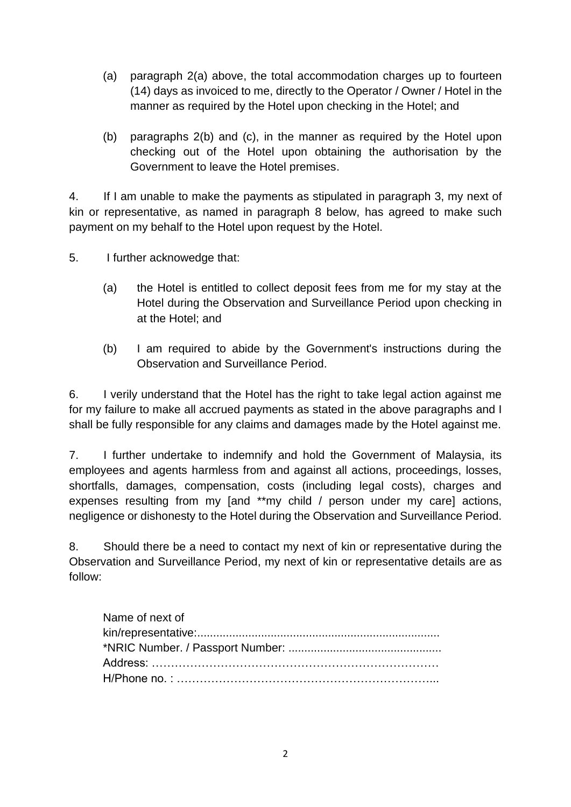- (a) paragraph 2(a) above, the total accommodation charges up to fourteen (14) days as invoiced to me, directly to the Operator / Owner / Hotel in the manner as required by the Hotel upon checking in the Hotel; and
- (b) paragraphs 2(b) and (c), in the manner as required by the Hotel upon checking out of the Hotel upon obtaining the authorisation by the Government to leave the Hotel premises.

4. If I am unable to make the payments as stipulated in paragraph 3, my next of kin or representative, as named in paragraph 8 below, has agreed to make such payment on my behalf to the Hotel upon request by the Hotel.

5. I further acknowedge that:

- (a) the Hotel is entitled to collect deposit fees from me for my stay at the Hotel during the Observation and Surveillance Period upon checking in at the Hotel; and
- (b) I am required to abide by the Government's instructions during the Observation and Surveillance Period.

6. I verily understand that the Hotel has the right to take legal action against me for my failure to make all accrued payments as stated in the above paragraphs and I shall be fully responsible for any claims and damages made by the Hotel against me.

7. I further undertake to indemnify and hold the Government of Malaysia, its employees and agents harmless from and against all actions, proceedings, losses, shortfalls, damages, compensation, costs (including legal costs), charges and expenses resulting from my [and \*\*my child / person under my care] actions, negligence or dishonesty to the Hotel during the Observation and Surveillance Period.

8. Should there be a need to contact my next of kin or representative during the Observation and Surveillance Period, my next of kin or representative details are as follow:

| Name of next of |
|-----------------|
|                 |
|                 |
|                 |
|                 |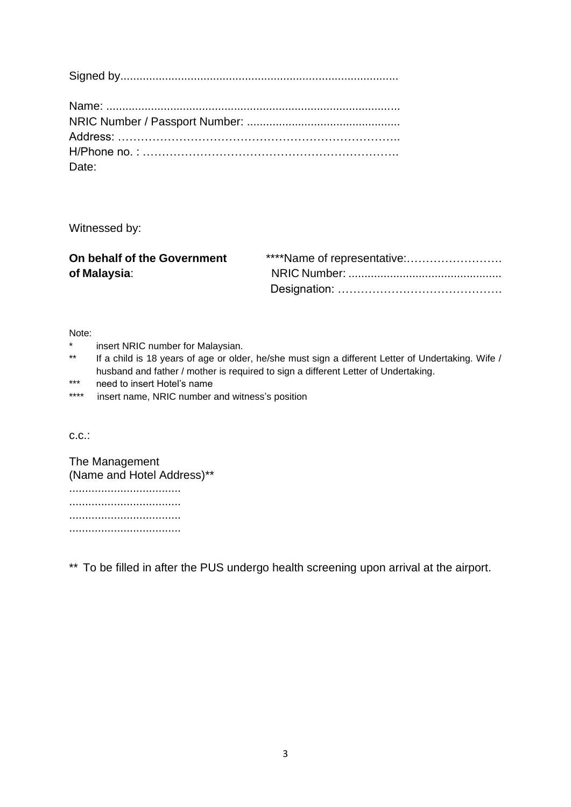| Date: |
|-------|

Witnessed by:

| On behalf of the Government |  |
|-----------------------------|--|
| of Malaysia:                |  |
|                             |  |

Note:

- \* insert NRIC number for Malaysian.<br>\*\* If a child is 18 years of age or older
- If a child is 18 years of age or older, he/she must sign a different Letter of Undertaking. Wife / husband and father / mother is required to sign a different Letter of Undertaking.
- \*\*\* need to insert Hotel's name
- \*\*\*\* insert name, NRIC number and witness's position

c.c.:

The Management (Name and Hotel Address)\*\* ................................... ................................... ................................... ...................................

\*\* To be filled in after the PUS undergo health screening upon arrival at the airport.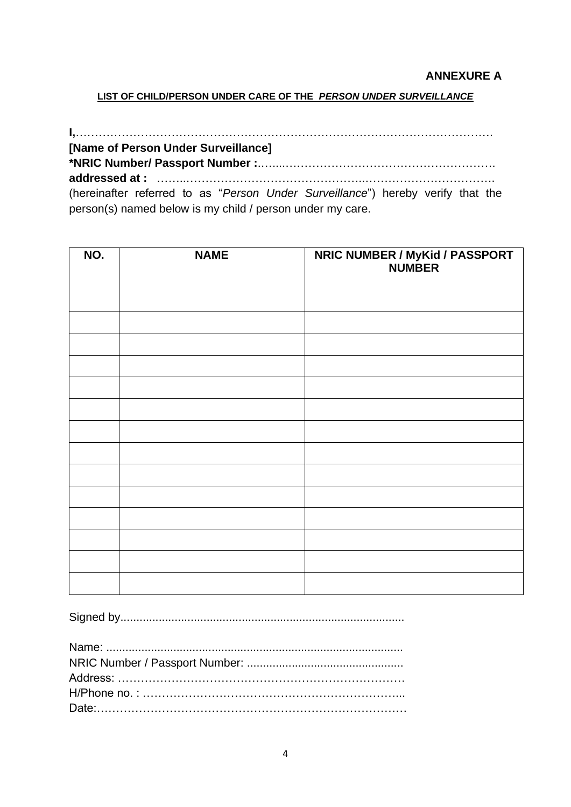#### **ANNEXURE A**

#### **LIST OF CHILD/PERSON UNDER CARE OF THE** *PERSON UNDER SURVEILLANCE*

**I,**………………………………………………………………………………………………. **[Name of Person Under Surveillance] \*NRIC Number/ Passport Number :**.…....………………………………………………. **addressed at :** ……..………………………………………..……………………………. (hereinafter referred to as "*Person Under Surveillance*") hereby verify that the person(s) named below is my child / person under my care.

| NO. | <b>NAME</b> | <b>NRIC NUMBER / MyKid / PASSPORT</b><br><b>NUMBER</b> |
|-----|-------------|--------------------------------------------------------|
|     |             |                                                        |
|     |             |                                                        |
|     |             |                                                        |
|     |             |                                                        |
|     |             |                                                        |
|     |             |                                                        |
|     |             |                                                        |
|     |             |                                                        |
|     |             |                                                        |
|     |             |                                                        |
|     |             |                                                        |
|     |             |                                                        |
|     |             |                                                        |

Signed by.........................................................................................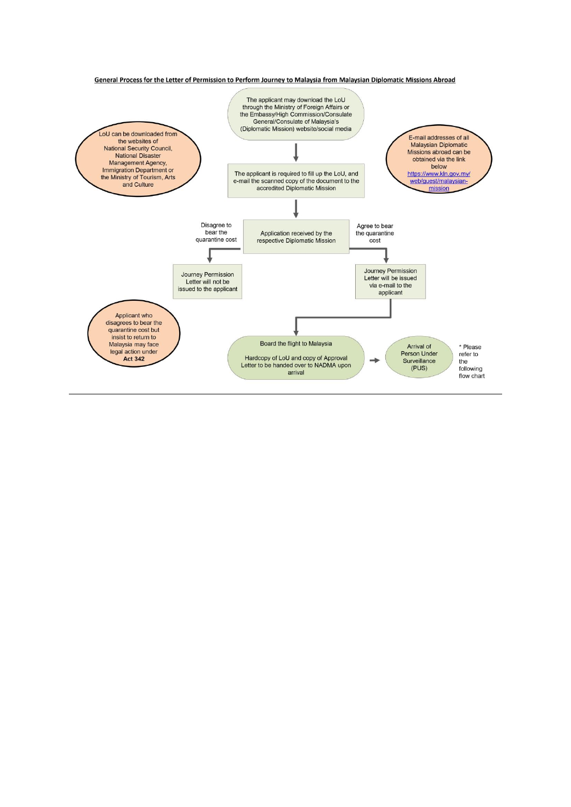General Process for the Letter of Permission to Perform Journey to Malaysia from Malaysian Diplomatic Missions Abroad

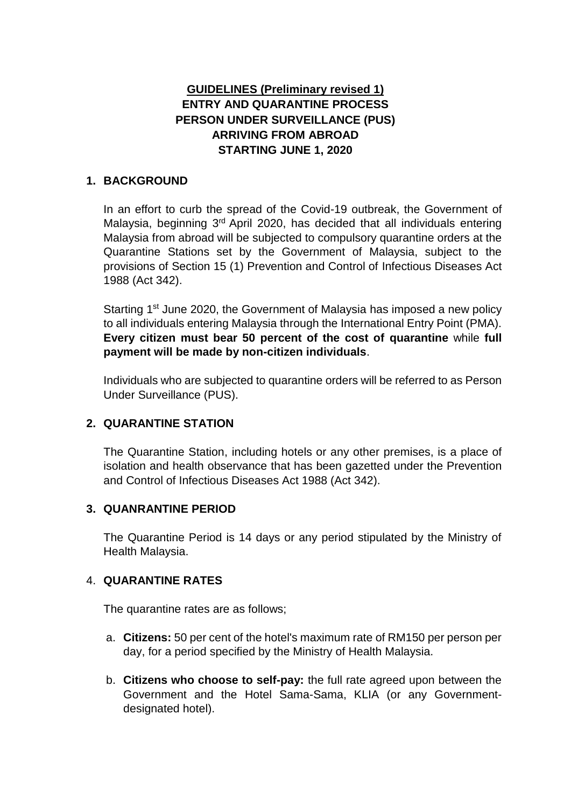# **GUIDELINES (Preliminary revised 1) ENTRY AND QUARANTINE PROCESS PERSON UNDER SURVEILLANCE (PUS) ARRIVING FROM ABROAD STARTING JUNE 1, 2020**

### **1. BACKGROUND**

In an effort to curb the spread of the Covid-19 outbreak, the Government of Malaysia, beginning 3<sup>rd</sup> April 2020, has decided that all individuals entering Malaysia from abroad will be subjected to compulsory quarantine orders at the Quarantine Stations set by the Government of Malaysia, subject to the provisions of Section 15 (1) Prevention and Control of Infectious Diseases Act 1988 (Act 342).

Starting 1<sup>st</sup> June 2020, the Government of Malaysia has imposed a new policy to all individuals entering Malaysia through the International Entry Point (PMA). **Every citizen must bear 50 percent of the cost of quarantine** while **full payment will be made by non-citizen individuals**.

Individuals who are subjected to quarantine orders will be referred to as Person Under Surveillance (PUS).

### **2. QUARANTINE STATION**

The Quarantine Station, including hotels or any other premises, is a place of isolation and health observance that has been gazetted under the Prevention and Control of Infectious Diseases Act 1988 (Act 342).

### **3. QUANRANTINE PERIOD**

The Quarantine Period is 14 days or any period stipulated by the Ministry of Health Malaysia.

### 4. **QUARANTINE RATES**

The quarantine rates are as follows;

- a. **Citizens:** 50 per cent of the hotel's maximum rate of RM150 per person per day, for a period specified by the Ministry of Health Malaysia.
- b. **Citizens who choose to self-pay:** the full rate agreed upon between the Government and the Hotel Sama-Sama, KLIA (or any Governmentdesignated hotel).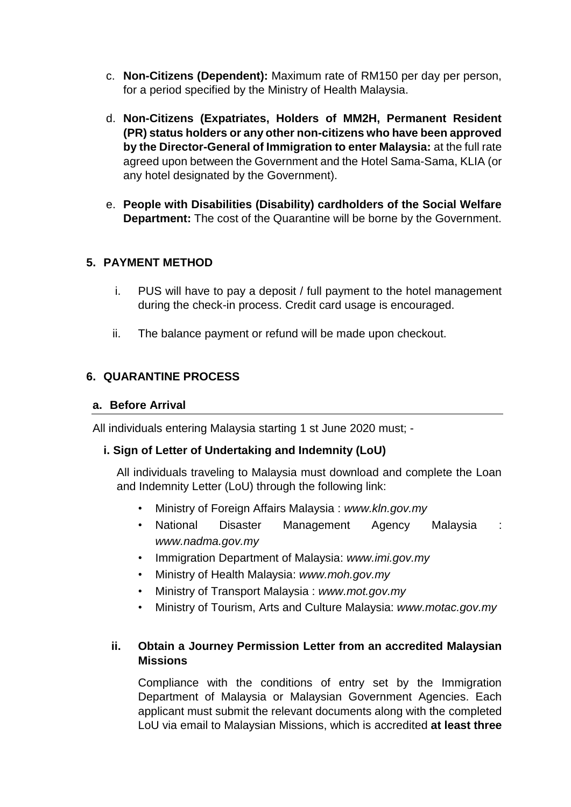- c. **Non-Citizens (Dependent):** Maximum rate of RM150 per day per person, for a period specified by the Ministry of Health Malaysia.
- d. **Non-Citizens (Expatriates, Holders of MM2H, Permanent Resident (PR) status holders or any other non-citizens who have been approved by the Director-General of Immigration to enter Malaysia:** at the full rate agreed upon between the Government and the Hotel Sama-Sama, KLIA (or any hotel designated by the Government).
- e. **People with Disabilities (Disability) cardholders of the Social Welfare Department:** The cost of the Quarantine will be borne by the Government.

### **5. PAYMENT METHOD**

- i. PUS will have to pay a deposit / full payment to the hotel management during the check-in process. Credit card usage is encouraged.
- ii. The balance payment or refund will be made upon checkout.

# **6. QUARANTINE PROCESS**

#### **a. Before Arrival**

All individuals entering Malaysia starting 1 st June 2020 must; -

### **i. Sign of Letter of Undertaking and Indemnity (LoU)**

All individuals traveling to Malaysia must download and complete the Loan and Indemnity Letter (LoU) through the following link:

- *•* Ministry of Foreign Affairs Malaysia : *www.kln.gov.my*
- *•* National Disaster Management Agency Malaysia : *www.nadma.gov.my*
- *•* Immigration Department of Malaysia: *www.imi.gov.my*
- *•* Ministry of Health Malaysia: *www.moh.gov.my*
- *•* Ministry of Transport Malaysia : *www.mot.gov.my*
- *•* Ministry of Tourism, Arts and Culture Malaysia: *www.motac.gov.my*

### **ii. Obtain a Journey Permission Letter from an accredited Malaysian Missions**

Compliance with the conditions of entry set by the Immigration Department of Malaysia or Malaysian Government Agencies. Each applicant must submit the relevant documents along with the completed LoU via email to Malaysian Missions, which is accredited **at least three**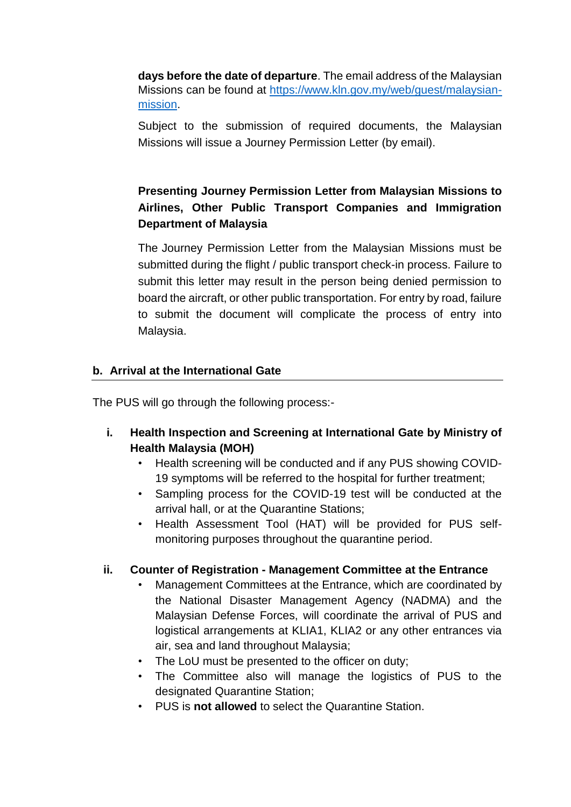**days before the date of departure**. The email address of the Malaysian Missions can be found at [https://www.kln.gov.my/web/guest/malaysian](https://www.kln.gov.my/web/guest/malaysian-mission)[mission.](https://www.kln.gov.my/web/guest/malaysian-mission)

Subject to the submission of required documents, the Malaysian Missions will issue a Journey Permission Letter (by email).

# **Presenting Journey Permission Letter from Malaysian Missions to Airlines, Other Public Transport Companies and Immigration Department of Malaysia**

The Journey Permission Letter from the Malaysian Missions must be submitted during the flight / public transport check-in process. Failure to submit this letter may result in the person being denied permission to board the aircraft, or other public transportation. For entry by road, failure to submit the document will complicate the process of entry into Malaysia.

### **b. Arrival at the International Gate**

The PUS will go through the following process:-

- **i. Health Inspection and Screening at International Gate by Ministry of Health Malaysia (MOH)**
	- *•* Health screening will be conducted and if any PUS showing COVID-19 symptoms will be referred to the hospital for further treatment;
	- *•* Sampling process for the COVID-19 test will be conducted at the arrival hall, or at the Quarantine Stations;
	- *•* Health Assessment Tool (HAT) will be provided for PUS selfmonitoring purposes throughout the quarantine period.

# **ii. Counter of Registration - Management Committee at the Entrance**

- *•* Management Committees at the Entrance, which are coordinated by the National Disaster Management Agency (NADMA) and the Malaysian Defense Forces, will coordinate the arrival of PUS and logistical arrangements at KLIA1, KLIA2 or any other entrances via air, sea and land throughout Malaysia;
- *•* The LoU must be presented to the officer on duty;
- *•* The Committee also will manage the logistics of PUS to the designated Quarantine Station;
- *•* PUS is **not allowed** to select the Quarantine Station.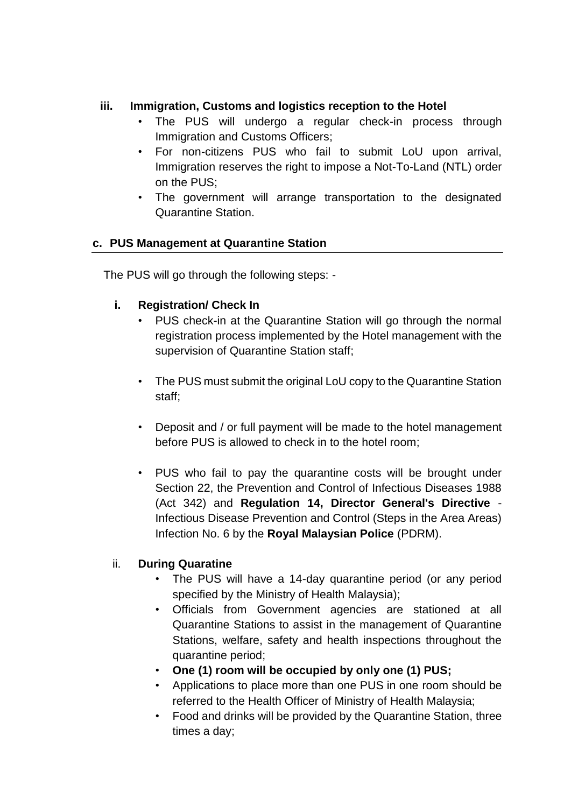### **iii. Immigration, Customs and logistics reception to the Hotel**

- *•* The PUS will undergo a regular check-in process through Immigration and Customs Officers;
- *•* For non-citizens PUS who fail to submit LoU upon arrival, Immigration reserves the right to impose a Not-To-Land (NTL) order on the PUS;
- *•* The government will arrange transportation to the designated Quarantine Station.

### **c. PUS Management at Quarantine Station**

The PUS will go through the following steps: -

### **i. Registration/ Check In**

- *•* PUS check-in at the Quarantine Station will go through the normal registration process implemented by the Hotel management with the supervision of Quarantine Station staff;
- *•* The PUS must submit the original LoU copy to the Quarantine Station staff;
- *•* Deposit and / or full payment will be made to the hotel management before PUS is allowed to check in to the hotel room;
- *•* PUS who fail to pay the quarantine costs will be brought under Section 22, the Prevention and Control of Infectious Diseases 1988 (Act 342) and **Regulation 14, Director General's Directive** - Infectious Disease Prevention and Control (Steps in the Area Areas) Infection No. 6 by the **Royal Malaysian Police** (PDRM).

### ii. **During Quaratine**

- The PUS will have a 14-day quarantine period (or any period specified by the Ministry of Health Malaysia);
- Officials from Government agencies are stationed at all Quarantine Stations to assist in the management of Quarantine Stations, welfare, safety and health inspections throughout the quarantine period;
- **One (1) room will be occupied by only one (1) PUS;**
- Applications to place more than one PUS in one room should be referred to the Health Officer of Ministry of Health Malaysia;
- Food and drinks will be provided by the Quarantine Station, three times a day;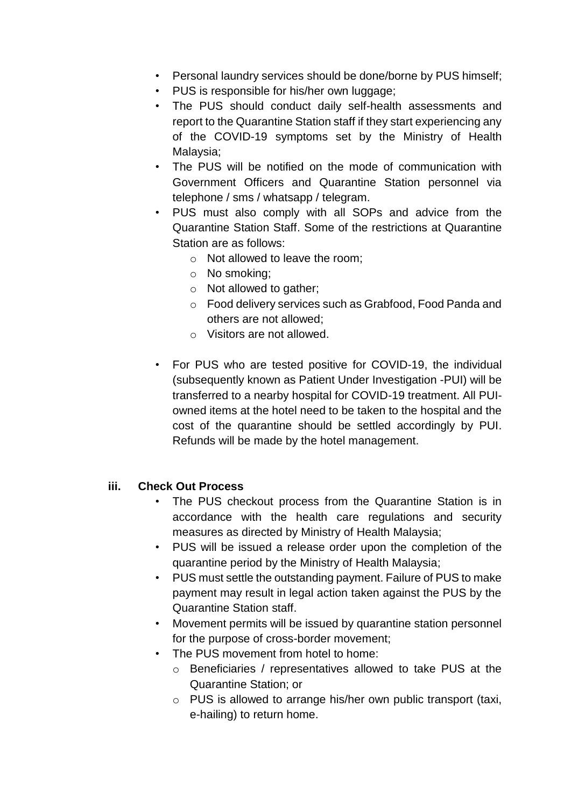- Personal laundry services should be done/borne by PUS himself;
- PUS is responsible for his/her own luggage;
- The PUS should conduct daily self-health assessments and report to the Quarantine Station staff if they start experiencing any of the COVID-19 symptoms set by the Ministry of Health Malaysia;
- The PUS will be notified on the mode of communication with Government Officers and Quarantine Station personnel via telephone / sms / whatsapp / telegram.
- PUS must also comply with all SOPs and advice from the Quarantine Station Staff. Some of the restrictions at Quarantine Station are as follows:
	- o Not allowed to leave the room;
	- o No smoking;
	- o Not allowed to gather;
	- o Food delivery services such as Grabfood, Food Panda and others are not allowed;
	- o Visitors are not allowed.
- For PUS who are tested positive for COVID-19, the individual (subsequently known as Patient Under Investigation -PUI) will be transferred to a nearby hospital for COVID-19 treatment. All PUIowned items at the hotel need to be taken to the hospital and the cost of the quarantine should be settled accordingly by PUI. Refunds will be made by the hotel management.

### **iii. Check Out Process**

- *•* The PUS checkout process from the Quarantine Station is in accordance with the health care regulations and security measures as directed by Ministry of Health Malaysia;
- *•* PUS will be issued a release order upon the completion of the quarantine period by the Ministry of Health Malaysia;
- *•* PUS must settle the outstanding payment. Failure of PUS to make payment may result in legal action taken against the PUS by the Quarantine Station staff.
- *•* Movement permits will be issued by quarantine station personnel for the purpose of cross-border movement;
- *•* The PUS movement from hotel to home:
	- o Beneficiaries / representatives allowed to take PUS at the Quarantine Station; or
	- o PUS is allowed to arrange his/her own public transport (taxi, e-hailing) to return home.